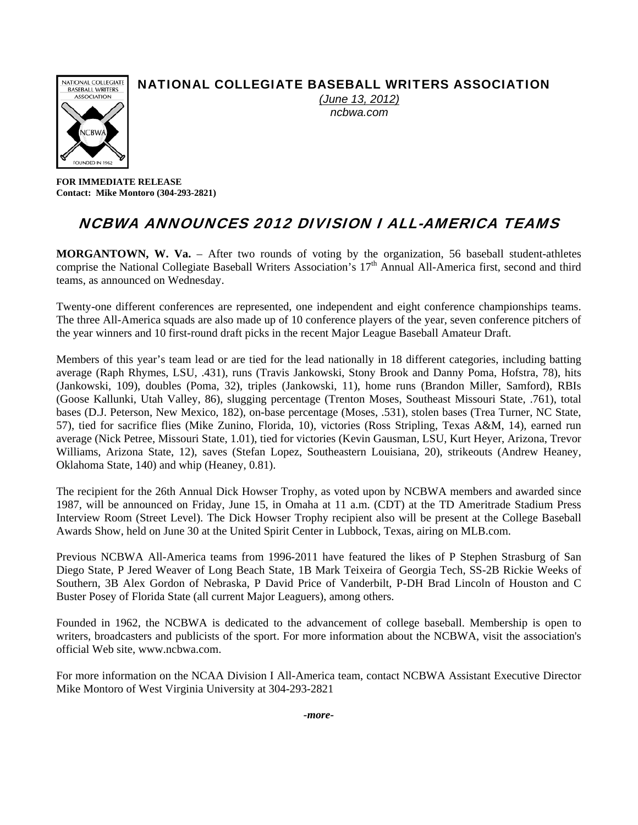## NATIONAL COLLEGIATE BASEBALL WRITERS ASSOCIATION



*(June 13, 2012) ncbwa.com* 

**FOR IMMEDIATE RELEASE Contact: Mike Montoro (304-293-2821)** 

# NCBWA ANNOUNCES 2012 DIVISION I ALL-AMERICA TEAMS

**MORGANTOWN, W. Va.** – After two rounds of voting by the organization, 56 baseball student-athletes comprise the National Collegiate Baseball Writers Association's 17<sup>th</sup> Annual All-America first, second and third teams, as announced on Wednesday.

Twenty-one different conferences are represented, one independent and eight conference championships teams. The three All-America squads are also made up of 10 conference players of the year, seven conference pitchers of the year winners and 10 first-round draft picks in the recent Major League Baseball Amateur Draft.

Members of this year's team lead or are tied for the lead nationally in 18 different categories, including batting average (Raph Rhymes, LSU, .431), runs (Travis Jankowski, Stony Brook and Danny Poma, Hofstra, 78), hits (Jankowski, 109), doubles (Poma, 32), triples (Jankowski, 11), home runs (Brandon Miller, Samford), RBIs (Goose Kallunki, Utah Valley, 86), slugging percentage (Trenton Moses, Southeast Missouri State, .761), total bases (D.J. Peterson, New Mexico, 182), on-base percentage (Moses, .531), stolen bases (Trea Turner, NC State, 57), tied for sacrifice flies (Mike Zunino, Florida, 10), victories (Ross Stripling, Texas A&M, 14), earned run average (Nick Petree, Missouri State, 1.01), tied for victories (Kevin Gausman, LSU, Kurt Heyer, Arizona, Trevor Williams, Arizona State, 12), saves (Stefan Lopez, Southeastern Louisiana, 20), strikeouts (Andrew Heaney, Oklahoma State, 140) and whip (Heaney, 0.81).

The recipient for the 26th Annual Dick Howser Trophy, as voted upon by NCBWA members and awarded since 1987, will be announced on Friday, June 15, in Omaha at 11 a.m. (CDT) at the TD Ameritrade Stadium Press Interview Room (Street Level). The Dick Howser Trophy recipient also will be present at the College Baseball Awards Show, held on June 30 at the United Spirit Center in Lubbock, Texas, airing on MLB.com.

Previous NCBWA All-America teams from 1996-2011 have featured the likes of P Stephen Strasburg of San Diego State, P Jered Weaver of Long Beach State, 1B Mark Teixeira of Georgia Tech, SS-2B Rickie Weeks of Southern, 3B Alex Gordon of Nebraska, P David Price of Vanderbilt, P-DH Brad Lincoln of Houston and C Buster Posey of Florida State (all current Major Leaguers), among others.

Founded in 1962, the NCBWA is dedicated to the advancement of college baseball. Membership is open to writers, broadcasters and publicists of the sport. For more information about the NCBWA, visit the association's official Web site, www.ncbwa.com.

For more information on the NCAA Division I All-America team, contact NCBWA Assistant Executive Director Mike Montoro of West Virginia University at 304-293-2821

*-more-*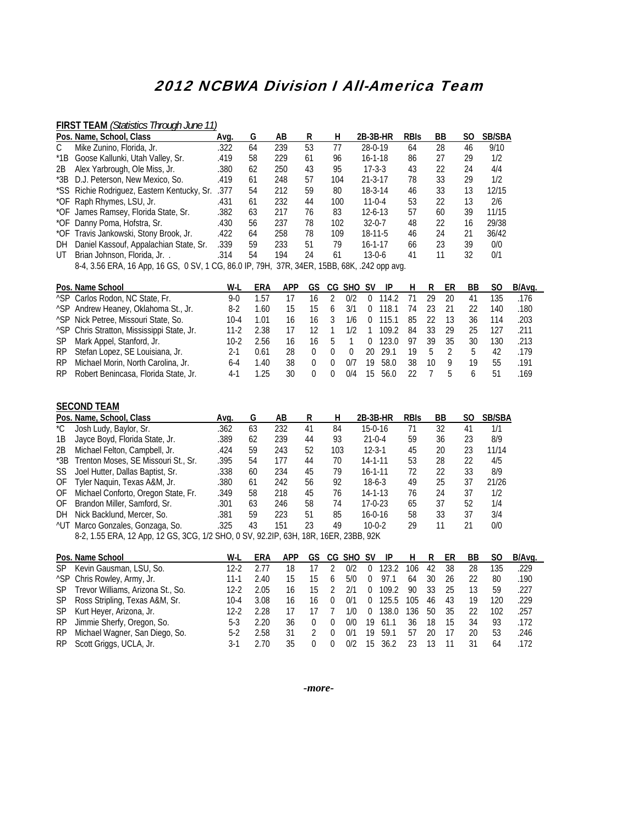## 2012 NCBWA Division I All-America Team

#### **FIRST TEAM** *(Statistics Through June 11)*

|         | Pos. Name, School, Class                                                                    | Ava. | G  | AB  | R  | н   | 2B 3B HR      | <b>RBIS</b> | BB | SO | <b>SB/SBA</b> |
|---------|---------------------------------------------------------------------------------------------|------|----|-----|----|-----|---------------|-------------|----|----|---------------|
|         | Mike Zunino, Florida, Jr.                                                                   | .322 | 64 | 239 | 53 | 77  | 28-0-19       | 64          | 28 | 46 | 9/10          |
| $^*$ 1B | Goose Kallunki, Utah Valley, Sr.                                                            | .419 | 58 | 229 | 61 | 96  | $16 - 1 - 18$ | 86          | 27 | 29 | 1/2           |
| 2B      | Alex Yarbrough, Ole Miss, Jr.                                                               | .380 | 62 | 250 | 43 | 95  | $17 - 3 - 3$  | 43          | 22 | 24 | 4/4           |
|         | *3B D.J. Peterson, New Mexico, So.                                                          | .419 | 61 | 248 | 57 | 104 | $21 - 3 - 17$ | 78          | 33 | 29 | 1/2           |
|         | *SS Richie Rodriguez, Eastern Kentucky, Sr.                                                 | 377  | 54 | 212 | 59 | 80  | $18-3-14$     | 46          | 33 | 13 | 12/15         |
|         | *OF Raph Rhymes, LSU, Jr.                                                                   | .431 | 61 | 232 | 44 | 100 | $11 - 0 - 4$  | 53          | 22 | 13 | 2/6           |
|         | *OF James Ramsey, Florida State, Sr.                                                        | .382 | 63 | 217 | 76 | 83  | $12 - 6 - 13$ | 57          | 60 | 39 | 11/15         |
|         | *OF Danny Poma, Hofstra, Sr.                                                                | .430 | 56 | 237 | 78 | 102 | $32 - 0 - 7$  | 48          | 22 | 16 | 29/38         |
|         | *OF Travis Jankowski, Stony Brook, Jr.                                                      | .422 | 64 | 258 | 78 | 109 | $18-11-5$     | 46          | 24 | 21 | 36/42         |
| DH      | Daniel Kassouf, Appalachian State, Sr.                                                      | .339 | 59 | 233 | 51 | 79  | $16 - 1 - 17$ | 66          | 23 | 39 | 0/0           |
| UT      | Brian Johnson, Florida, Jr. .                                                               | .314 | 54 | 194 | 24 | 61  | $13-0-6$      | 41          | 11 | 32 | 0/1           |
|         | 8-4, 3.56 ERA, 16 App, 16 GS, 0 SV, 1 CG, 86.0 IP, 79H, 37R, 34ER, 15BB, 68K, .242 opp avg. |      |    |     |    |     |               |             |    |    |               |

|     | Pos. Name School                                       | W-L  | ERA  | <b>APP</b> |               |              | GS CG SHO SV |          | - IP  | H. | R  | ER   | BB | SO. | B/Ava. |
|-----|--------------------------------------------------------|------|------|------------|---------------|--------------|--------------|----------|-------|----|----|------|----|-----|--------|
|     | <sup>^</sup> SP Carlos Rodon, NC State, Fr.            | 9-0  | 1.57 |            | 16            |              | 0/2          | $\Omega$ | 114.2 |    | 29 | -20  | 41 | 135 | .176   |
|     | <sup>^</sup> SP Andrew Heaney, Oklahoma St., Jr.       | 8-2  | 1.60 | 15         | 15            | <sub>b</sub> | 3/1          | $\Omega$ | 118.1 | 74 | 23 | -21  | 22 | 140 | .180   |
|     | <sup>^</sup> SP Nick Petree, Missouri State, So.       | 10-4 |      | 16         | 16            |              | 1/6          | $\Omega$ | 15.1  | 85 | 22 | -13  | 36 | 114 | .203   |
|     | <sup>^</sup> SP Chris Stratton, Mississippi State, Jr. | 11-2 | 2.38 |            |               |              | 1/2          |          | 109.2 | 84 | 33 | - 29 | 25 | 127 | .211   |
|     | SP Mark Appel, Stanford, Jr.                           | 10-2 | 2.56 | 16         | 16            | b            |              | $\Omega$ | 123.0 | 97 | 39 | - 35 | 30 | 130 | .213   |
|     | RP Stefan Lopez, SE Louisiana, Jr.                     | 2-1  | 0.61 | 28         |               |              |              | 20.      | 29.1  | 19 | 5  |      | 5  | 42  | .179   |
| RP. | Michael Morin, North Carolina, Jr.                     | 6-4  | 1.40 | 38         | $\mathcal{L}$ |              | דוח          | 19       | 58.0  | 38 | 10 | q    | 19 | 55  | .191   |
|     | RP Robert Benincasa, Florida State, Jr.                | 4-1  | 1 25 | 30         |               |              | 0/4          | 15       | 56.0  | 22 |    | h    | h  | 51  | .169   |

#### **SECOND TEAM Pos. Name, School, Class Avg. G AB R H 2B-3B-HR RBIS BB SO SB/SBA**<br>
\*C Josh Ludy, Baylor, Sr. 362 63 232 41 84 15-0-16 71 32 41 1/1 \*C Josh Ludy, Baylor, Sr. .362 63 232 41 84 15-0-16 71 32 41 1/1 1B Jayce Boyd, Florida State, Jr. . . . . 389 62 239 44 93 21-0-4 59 36 23 8/9<br>2B Michael Felton, Campbell, Jr. . . . . . 424 59 243 52 103 12-3-1 45 20 23 11/14 2B Michael Felton, Campbell, Jr. .424 59 243 52 103 12-3-1 45 20 23 11/14 \*3B Trenton Moses, SE Missouri St., Sr. .395 54 177 44 70 14-1-11 53 28 22 4/5 SS Joel Hutter, Dallas Baptist, Sr. . .338 60 234 45 79 16-1-11 72 22<br>OF Tyler Naquin, Texas A&M, Jr. . .380 61 242 56 92 18-6-3 49 25 OF Tyler Naquin, Texas A&M, Jr. . . . . 380 61 242 56 92 18-6-3 49 25 37 21/26<br>OF Michael Conforto, Oregon State, Fr. . . 349 58 218 45 76 14-1-13 76 24 37 1/2 OF Michael Conforto, Oregon State, Fr. .349 58 218 45 76 14-1-13 76 24 37 1/2 OF Brandon Miller, Samford, Sr. . ... ... 301 63 246 58 74 17-0-23 65 37 52 1/4<br>DH Nick Backlund, Mercer, So. . ... ... ... 381 59 223 51 85 16-0-16 58 33 37 3/4 DH Nick Backlund, Mercer, So. ^UT Marco Gonzales, Gonzaga, So. .325 43 151 23 49 10-0-2 29 11 21 0/0 8-2, 1.55 ERA, 12 App, 12 GS, 3CG, 1/2 SHO, 0 SV, 92.2IP, 63H, 18R, 16ER, 23BB, 92K

|     | Pos. Name School                        | W-L  | ERA  | <b>APP</b> |    | GS CG SHO SV |    | - IP  | H   | R  | ER | ВB | S0  | B/Ava. |
|-----|-----------------------------------------|------|------|------------|----|--------------|----|-------|-----|----|----|----|-----|--------|
| SP. | Kevin Gausman, LSU, So.                 | 12-2 |      | 18         |    | 0/2          |    | 123.2 | 106 | 42 | 38 | 28 | 135 | .229   |
|     | <sup>^</sup> SP Chris Rowley, Army, Jr. | 11-1 | 2.40 | 15         | 15 | 5/0          |    | 97.1  | 64  | 30 | 26 |    | 80  | .190   |
|     | SP Trevor Williams, Arizona St., So.    | 12-2 | 2.05 | 16         | 15 | 2/1          |    | 109.2 | 90  | 33 | 25 | 13 | 59  | .227   |
|     | SP Ross Stripling, Texas A&M, Sr.       | 10-4 | 3.08 | 16         | 16 | 0/1          |    | 125.5 | 105 | 46 | 43 | 19 | 120 | .229   |
|     | SP Kurt Heyer, Arizona, Jr.             | 12-2 | 2.28 |            |    | 1/0          | 0  | 138.0 | 136 | 50 | 35 | 22 | 102 | .257   |
|     | RP Jimmie Sherfy, Oregon, So.           | 5-3  | 2.20 | 36         |    | 0/0          | 19 | 61.1  | 36  | 18 | 15 | 34 | 93  | .172   |
|     | RP Michael Wagner, San Diego, So.       | 5-2  | 2.58 | 31         |    | 0/1          | 19 | 59.1  | 57  | 20 |    | 20 | 53  | .246   |
|     | RP Scott Griggs, UCLA, Jr.              |      | 2 70 | 35         |    | 0/2          | 15 | 36 2  |     |    |    |    | 64  | .172   |

*-more-*